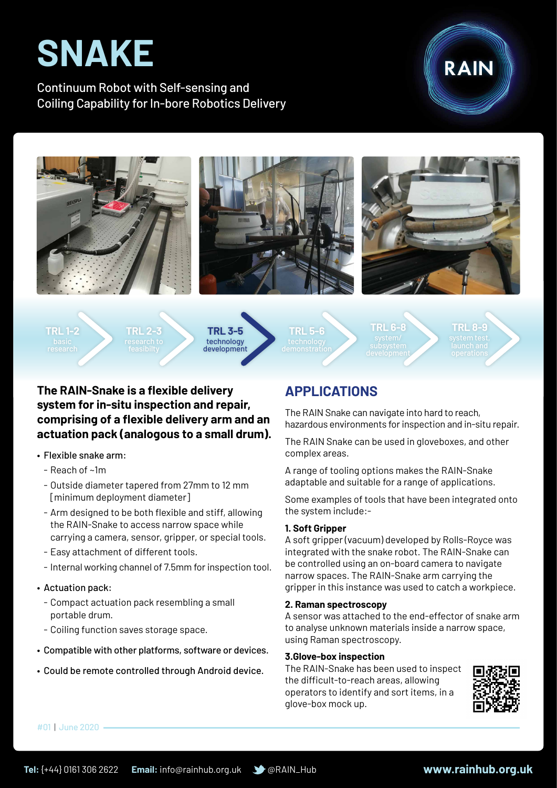# **SNAKE**

Continuum Robot with Self-sensing and Coiling Capability for In-bore Robotics Delivery









**TRL 1-2**

**TRL 2-3**



**TRL 5-6**

**TRL 6-8**

**TRL 8-9**

## **The RAIN-Snake is a flexible delivery system for in-situ inspection and repair, comprising of a flexible delivery arm and an actuation pack (analogous to a small drum).**

- • Flexible snake arm:
	- Reach of ~1m
	- Outside diameter tapered from 27mm to 12 mm [minimum deployment diameter]
	- Arm designed to be both flexible and stiff, allowing the RAIN-Snake to access narrow space while carrying a camera, sensor, gripper, or special tools.
	- Easy attachment of different tools.
	- Internal working channel of 7.5mm for inspection tool.

### • Actuation pack:

- Compact actuation pack resembling a small portable drum.
- Coiling function saves storage space.
- Compatible with other platforms, software or devices.
- • Could be remote controlled through Android device.

# **APPLICATIONS**

The RAIN Snake can navigate into hard to reach, hazardous environments for inspection and in-situ repair.

The RAIN Snake can be used in gloveboxes, and other complex areas.

A range of tooling options makes the RAIN-Snake adaptable and suitable for a range of applications.

Some examples of tools that have been integrated onto the system include:-

### **1. Soft Gripper**

A soft gripper (vacuum) developed by Rolls-Royce was integrated with the snake robot. The RAIN-Snake can be controlled using an on-board camera to navigate narrow spaces. The RAIN-Snake arm carrying the gripper in this instance was used to catch a workpiece.

#### **2. Raman spectroscopy**

A sensor was attached to the end-effector of snake arm to analyse unknown materials inside a narrow space, using Raman spectroscopy.

#### **3.Glove-box inspection**

The RAIN-Snake has been used to inspect the difficult-to-reach areas, allowing operators to identify and sort items, in a glove-box mock up.



#01 | June 2020